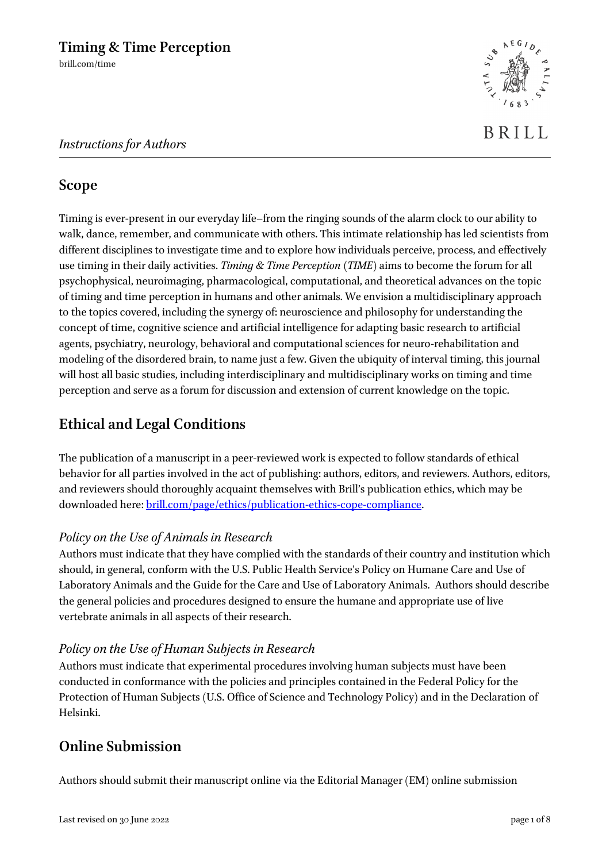

# **Scope**

Timing is ever-present in our everyday life–from the ringing sounds of the alarm clock to our ability to walk, dance, remember, and communicate with others. This intimate relationship has led scientists from different disciplines to investigate time and to explore how individuals perceive, process, and effectively use timing in their daily activities. *Timing & Time Perception* (*TIME*) aims to become the forum for all psychophysical, neuroimaging, pharmacological, computational, and theoretical advances on the topic of timing and time perception in humans and other animals. We envision a multidisciplinary approach to the topics covered, including the synergy of: neuroscience and philosophy for understanding the concept of time, cognitive science and artificial intelligence for adapting basic research to artificial agents, psychiatry, neurology, behavioral and computational sciences for neuro-rehabilitation and modeling of the disordered brain, to name just a few. Given the ubiquity of interval timing, this journal will host all basic studies, including interdisciplinary and multidisciplinary works on timing and time perception and serve as a forum for discussion and extension of current knowledge on the topic.

# **Ethical and Legal Conditions**

The publication of a manuscript in a peer-reviewed work is expected to follow standards of ethical behavior for all parties involved in the act of publishing: authors, editors, and reviewers. Authors, editors, and reviewers should thoroughly acquaint themselves with Brill's publication ethics, which may be downloaded here[: brill.com/page/ethics/publication-ethics-cope-compliance.](https://brill.com/page/ethics/publication-ethics-cope-compliance)

# *Policy on the Use of Animals in Research*

Authors must indicate that they have complied with the standards of their country and institution which should, in general, conform with the U.S. Public Health Service's Policy on Humane Care and Use of Laboratory Animals and the Guide for the Care and Use of Laboratory Animals. Authors should describe the general policies and procedures designed to ensure the humane and appropriate use of live vertebrate animals in all aspects of their research.

# *Policy on the Use of Human Subjects in Research*

Authors must indicate that experimental procedures involving human subjects must have been conducted in conformance with the policies and principles contained in the Federal Policy for the Protection of Human Subjects (U.S. Office of Science and Technology Policy) and in the Declaration of Helsinki.

# **Online Submission**

Authors should submit their manuscript online via the Editorial Manager (EM) online submission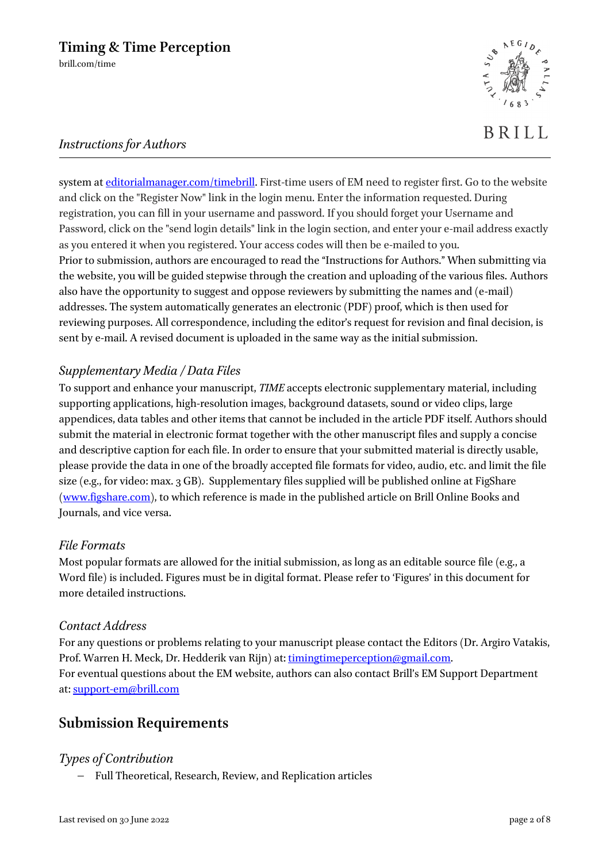

# BRILL

# *Instructions for Authors*

system at [editorialmanager.com/timebrill.](http://www.editorialmanager.com/timebrill) First-time users of EM need to register first. Go to the website and click on the "Register Now" link in the login menu. Enter the information requested. During registration, you can fill in your username and password. If you should forget your Username and Password, click on the "send login details" link in the login section, and enter your e-mail address exactly as you entered it when you registered. Your access codes will then be e-mailed to you. Prior to submission, authors are encouraged to read the "Instructions for Authors." When submitting via the website, you will be guided stepwise through the creation and uploading of the various files. Authors also have the opportunity to suggest and oppose reviewers by submitting the names and (e-mail) addresses. The system automatically generates an electronic (PDF) proof, which is then used for reviewing purposes. All correspondence, including the editor's request for revision and final decision, is sent by e-mail. A revised document is uploaded in the same way as the initial submission.

# *Supplementary Media / Data Files*

To support and enhance your manuscript, *TIME* accepts electronic supplementary material, including supporting applications, high-resolution images, background datasets, sound or video clips, large appendices, data tables and other items that cannot be included in the article PDF itself. Authors should submit the material in electronic format together with the other manuscript files and supply a concise and descriptive caption for each file. In order to ensure that your submitted material is directly usable, please provide the data in one of the broadly accepted file formats for video, audio, etc. and limit the file size (e.g., for video: max. 3 GB). Supplementary files supplied will be published online at FigShare [\(www.figshare.com\)](http://www.figshare.com/), to which reference is made in the published article on Brill Online Books and Journals, and vice versa.

#### *File Formats*

Most popular formats are allowed for the initial submission, as long as an editable source file (e.g., a Word file) is included. Figures must be in digital format. Please refer to 'Figures' in this document for more detailed instructions.

#### *Contact Address*

For any questions or problems relating to your manuscript please contact the Editors (Dr. Argiro Vatakis, Prof. Warren H. Meck, Dr. Hedderik van Rijn) at: [timingtimeperception@gmail.com.](mailto:timingtimeperception@gmail.com) For eventual questions about the EM website, authors can also contact Brill's EM Support Department at: [support-em@brill.com](mailto:support-em@brill.com)

# **Submission Requirements**

# *Types of Contribution*

− Full Theoretical, Research, Review, and Replication articles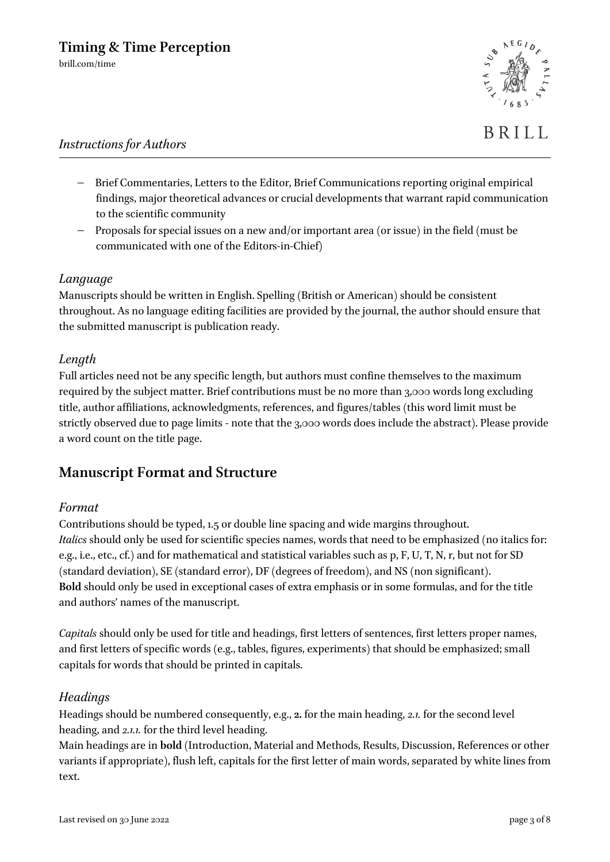

- − Brief Commentaries, Letters to the Editor, Brief Communications reporting original empirical findings, major theoretical advances or crucial developments that warrant rapid communication to the scientific community
- − Proposals for special issues on a new and/or important area (or issue) in the field (must be communicated with one of the Editors-in-Chief)

## *Language*

Manuscripts should be written in English. Spelling (British or American) should be consistent throughout. As no language editing facilities are provided by the journal, the author should ensure that the submitted manuscript is publication ready.

#### *Length*

Full articles need not be any specific length, but authors must confine themselves to the maximum required by the subject matter. Brief contributions must be no more than 3,000 words long excluding title, author affiliations, acknowledgments, references, and figures/tables (this word limit must be strictly observed due to page limits - note that the 3,000 words does include the abstract). Please provide a word count on the title page.

# **Manuscript Format and Structure**

#### *Format*

Contributions should be typed, 1.5 or double line spacing and wide margins throughout. *Italics* should only be used for scientific species names, words that need to be emphasized (no italics for: e.g., i.e., etc., cf.) and for mathematical and statistical variables such as p, F, U, T, N, r, but not for SD (standard deviation), SE (standard error), DF (degrees of freedom), and NS (non significant). **Bold** should only be used in exceptional cases of extra emphasis or in some formulas, and for the title and authors' names of the manuscript.

*Capitals* should only be used for title and headings, first letters of sentences, first letters proper names, and first letters of specific words (e.g., tables, figures, experiments) that should be emphasized; small capitals for words that should be printed in capitals.

#### *Headings*

Headings should be numbered consequently, e.g., **2.** for the main heading, *2.1.* for the second level heading, and *2.1.1.* for the third level heading.

Main headings are in **bold** (Introduction, Material and Methods, Results, Discussion, References or other variants if appropriate), flush left, capitals for the first letter of main words, separated by white lines from text.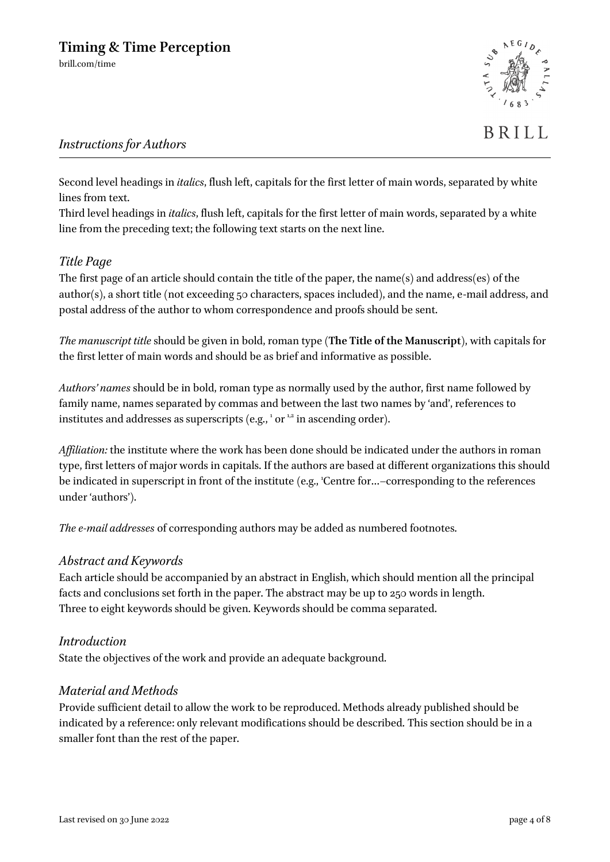

BRILL

## *Instructions for Authors*

Second level headings in *italics*, flush left, capitals for the first letter of main words, separated by white lines from text.

Third level headings in *italics*, flush left, capitals for the first letter of main words, separated by a white line from the preceding text; the following text starts on the next line.

#### *Title Page*

The first page of an article should contain the title of the paper, the name(s) and address(es) of the author(s), a short title (not exceeding 50 characters, spaces included), and the name, e-mail address, and postal address of the author to whom correspondence and proofs should be sent.

*The manuscript title* should be given in bold, roman type (**The Title of the Manuscript**), with capitals for the first letter of main words and should be as brief and informative as possible.

*Authors' names* should be in bold, roman type as normally used by the author, first name followed by family name, names separated by commas and between the last two names by 'and', references to institutes and addresses as superscripts (e.g.,  $^1$  or  $^{1,2}$  in ascending order).

*Affiliation:* the institute where the work has been done should be indicated under the authors in roman type, first letters of major words in capitals. If the authors are based at different organizations this should be indicated in superscript in front of the institute (e.g., 'Centre for...–corresponding to the references under 'authors').

*The e-mail addresses* of corresponding authors may be added as numbered footnotes.

#### *Abstract and Keywords*

Each article should be accompanied by an abstract in English, which should mention all the principal facts and conclusions set forth in the paper. The abstract may be up to 250 words in length. Three to eight keywords should be given. Keywords should be comma separated.

#### *Introduction*

State the objectives of the work and provide an adequate background.

#### *Material and Methods*

Provide sufficient detail to allow the work to be reproduced. Methods already published should be indicated by a reference: only relevant modifications should be described. This section should be in a smaller font than the rest of the paper.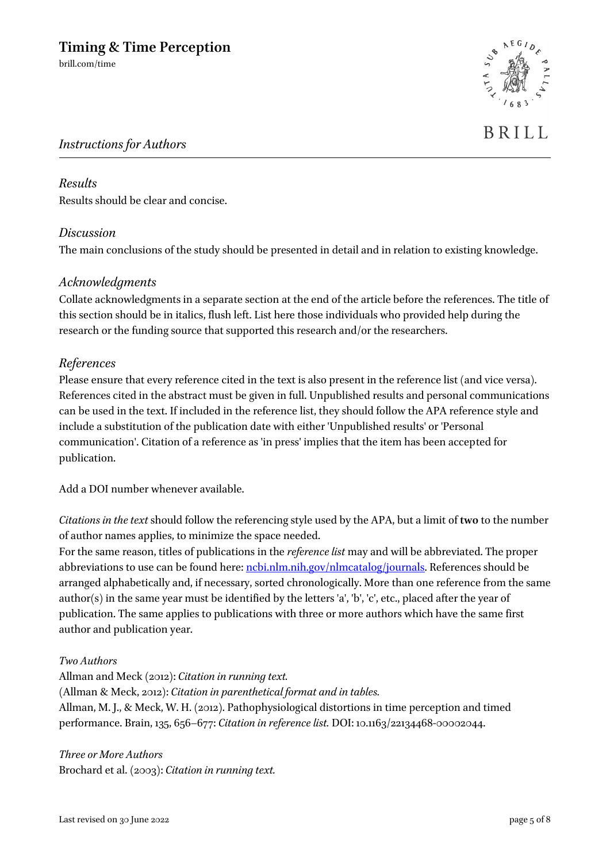

# BRILL

## *Instructions for Authors*

#### *Results* Results should be clear and concise.

#### *Discussion*

The main conclusions of the study should be presented in detail and in relation to existing knowledge.

#### *Acknowledgments*

Collate acknowledgments in a separate section at the end of the article before the references. The title of this section should be in italics, flush left. List here those individuals who provided help during the research or the funding source that supported this research and/or the researchers.

#### *References*

Please ensure that every reference cited in the text is also present in the reference list (and vice versa). References cited in the abstract must be given in full. Unpublished results and personal communications can be used in the text. If included in the reference list, they should follow the APA reference style and include a substitution of the publication date with either 'Unpublished results' or 'Personal communication'. Citation of a reference as 'in press' implies that the item has been accepted for publication.

Add a DOI number whenever available.

*Citations in the text* should follow the referencing style used by the APA, but a limit of **two** to the number of author names applies, to minimize the space needed.

For the same reason, titles of publications in the *reference list* may and will be abbreviated. The proper abbreviations to use can be found here: [ncbi.nlm.nih.gov/nlmcatalog/journals.](http://www.ncbi.nlm.nih.gov/nlmcatalog/journals) References should be arranged alphabetically and, if necessary, sorted chronologically. More than one reference from the same author(s) in the same year must be identified by the letters 'a', 'b', 'c', etc., placed after the year of publication. The same applies to publications with three or more authors which have the same first author and publication year.

#### *Two Authors*

Allman and Meck (2012): *Citation in running text.* (Allman & Meck, 2012): *Citation in parenthetical format and in tables.* Allman, M. J., & Meck, W. H. (2012). Pathophysiological distortions in time perception and timed performance. Brain, 135, 656–677: *Citation in reference list.* DOI: 10.1163/22134468-00002044.

*Three or More Authors* Brochard et al. (2003): *Citation in running text.*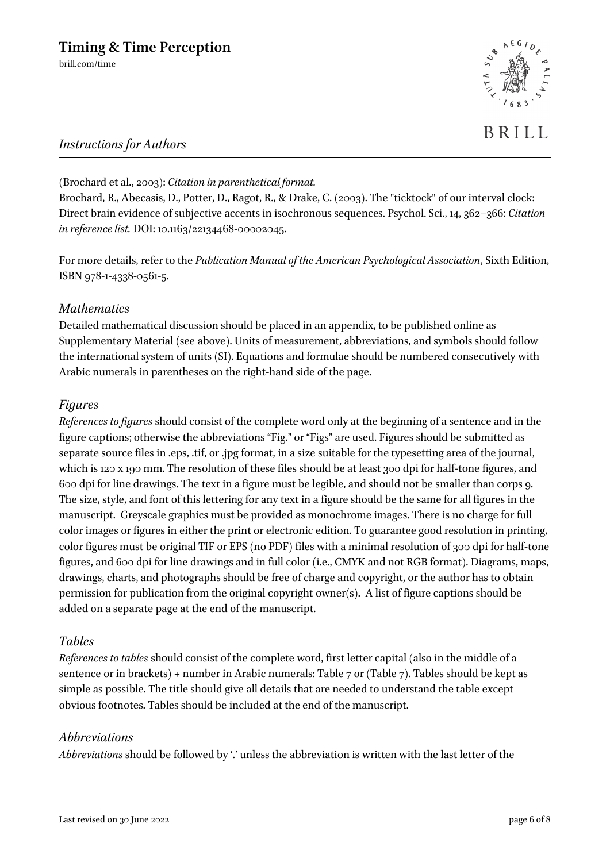# **Timing & Time Perception**

brill.com/time



## *Instructions for Authors*

(Brochard et al., 2003): *Citation in parenthetical format.*

Brochard, R., Abecasis, D., Potter, D., Ragot, R., & Drake, C. (2003). The "ticktock" of our interval clock: Direct brain evidence of subjective accents in isochronous sequences. Psychol. Sci., 14, 362–366: *Citation in reference list.* DOI: 10.1163/22134468-00002045.

For more details, refer to the *Publication Manual of the American Psychological Association*, Sixth Edition, ISBN 978-1-4338-0561-5.

#### *Mathematics*

Detailed mathematical discussion should be placed in an appendix, to be published online as Supplementary Material (see above). Units of measurement, abbreviations, and symbols should follow the international system of units (SI). Equations and formulae should be numbered consecutively with Arabic numerals in parentheses on the right-hand side of the page.

#### *Figures*

*References to figures* should consist of the complete word only at the beginning of a sentence and in the figure captions; otherwise the abbreviations "Fig." or "Figs" are used. Figures should be submitted as separate source files in .eps, .tif, or .jpg format, in a size suitable for the typesetting area of the journal, which is 120 x 190 mm. The resolution of these files should be at least 300 dpi for half-tone figures, and 600 dpi for line drawings. The text in a figure must be legible, and should not be smaller than corps 9. The size, style, and font of this lettering for any text in a figure should be the same for all figures in the manuscript. Greyscale graphics must be provided as monochrome images. There is no charge for full color images or figures in either the print or electronic edition. To guarantee good resolution in printing, color figures must be original TIF or EPS (no PDF) files with a minimal resolution of 300 dpi for half-tone figures, and 600 dpi for line drawings and in full color (i.e., CMYK and not RGB format). Diagrams, maps, drawings, charts, and photographs should be free of charge and copyright, or the author has to obtain permission for publication from the original copyright owner(s). A list of figure captions should be added on a separate page at the end of the manuscript.

#### *Tables*

*References to tables* should consist of the complete word, first letter capital (also in the middle of a sentence or in brackets) + number in Arabic numerals: Table 7 or (Table 7). Tables should be kept as simple as possible. The title should give all details that are needed to understand the table except obvious footnotes. Tables should be included at the end of the manuscript.

#### *Abbreviations*

*Abbreviations* should be followed by '.' unless the abbreviation is written with the last letter of the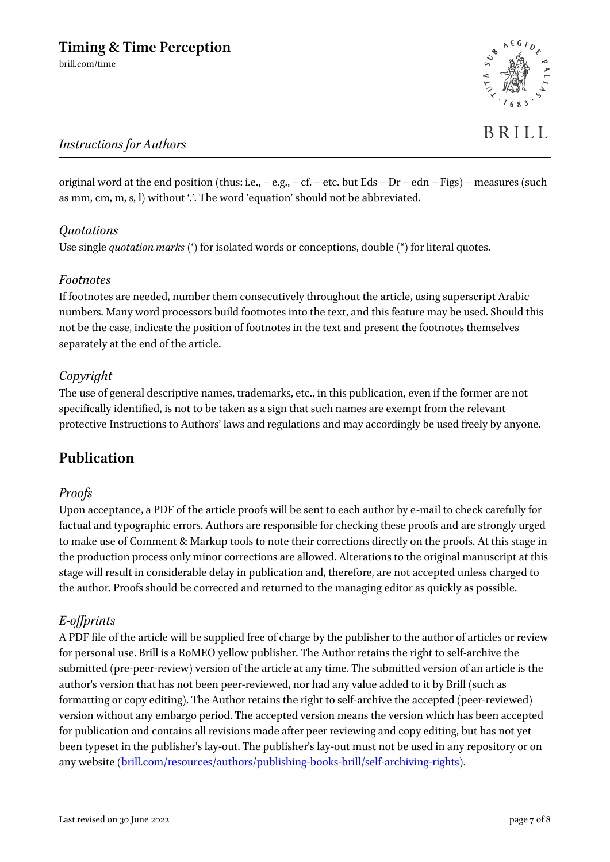## *Instructions for Authors*

original word at the end position (thus: i.e.,  $-$  e.g.,  $-$  cf.  $-$  etc. but Eds  $-$  Dr  $-$  edn  $-$  Figs)  $-$  measures (such as mm, cm, m, s, l) without ".'. The word 'equation' should not be abbreviated.

## *Quotations*

Use single *quotation marks* (') for isolated words or conceptions, double (") for literal quotes.

#### *Footnotes*

If footnotes are needed, number them consecutively throughout the article, using superscript Arabic numbers. Many word processors build footnotes into the text, and this feature may be used. Should this not be the case, indicate the position of footnotes in the text and present the footnotes themselves separately at the end of the article.

## *Copyright*

The use of general descriptive names, trademarks, etc., in this publication, even if the former are not specifically identified, is not to be taken as a sign that such names are exempt from the relevant protective Instructions to Authors' laws and regulations and may accordingly be used freely by anyone.

# **Publication**

#### *Proofs*

Upon acceptance, a PDF of the article proofs will be sent to each author by e-mail to check carefully for factual and typographic errors. Authors are responsible for checking these proofs and are strongly urged to make use of Comment & Markup tools to note their corrections directly on the proofs. At this stage in the production process only minor corrections are allowed. Alterations to the original manuscript at this stage will result in considerable delay in publication and, therefore, are not accepted unless charged to the author. Proofs should be corrected and returned to the managing editor as quickly as possible.

#### *E-offprints*

A PDF file of the article will be supplied free of charge by the publisher to the author of articles or review for personal use. Brill is a RoMEO yellow publisher. The Author retains the right to self-archive the submitted (pre-peer-review) version of the article at any time. The submitted version of an article is the author's version that has not been peer-reviewed, nor had any value added to it by Brill (such as formatting or copy editing). The Author retains the right to self-archive the accepted (peer-reviewed) version without any embargo period. The accepted version means the version which has been accepted for publication and contains all revisions made after peer reviewing and copy editing, but has not yet been typeset in the publisher's lay-out. The publisher's lay-out must not be used in any repository or on any website [\(brill.com/resources/authors/publishing-books-brill/self-archiving-rights\)](http://www.brill.com/resources/authors/publishing-books-brill/self-archiving-rights).